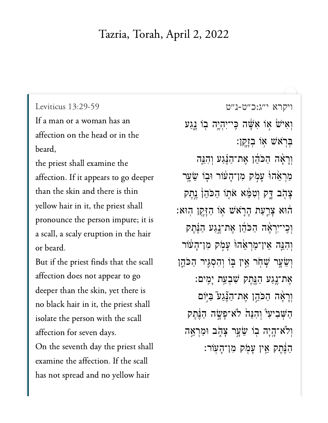## Tazria, Torah, April 2, 2022

Leviticus  $13:29-59$ 

If a man or a woman has an affection on the head or in the  $t \rightarrow 1$ 

the priest shall examine the  $\begin{array}{ccc} 1 & 1 \\ 0 & 1 \end{array}$ than the skin and there is thin problem in proposition in proposition in the person in the person in  $p$  is in the person in  $p$  is in the person in  $p$  is in the person in  $p$  is in the person in  $p$  is in the person in  $p$  is in the person in  $p$  is i pronounce the person impure; it is a scall, a scaly eruption in the hair But if the priest finds that the scall

But if the priest finds that the scall affection does not appear to go deeper than the skin, yet there is is the person with the scale  $\frac{1}{1}$  is the scale of  $\frac{1}{1}$ isolate the person with the scall affection for seven days. On the seventh day the priest shall examine the affection. If the scall has not spread and no yellow hair

יקרא י״ג:כ״ט-נ״ט<br>[ויקרא י״ג:כ״ט-נ״ט](https://www.sefaria.org/Leviticus%2013:29-59) 13:29-59 וְאִישׂ אָוֹ אִשָּׂה כִּי־יִהְיֶה בְוֹ <u>גָ</u>נַע ֿבְרֹא<sup>ָ</sup>שׁ אוֹ בְזַקן: וְרָאָ*ּה הַכֹּה*ֵ֫ן אֶת־הַבֶּּנַע וְהָבֶּה מַרְאֱהוּ עַמִק מִן־הַעוֹר וּבֶו שֵׂעֵר ְצָהֶב דָּק וְטָמֶּא אֹתְוֹ הַכֹּהֶן ְנֵתֵק הוּא צָרֵעַת הָרֶאֹשׁ אָוֹ הַזָּקֵן הִוּא: וְכֵי־יִרְאֶה הַכֹּהֶן אֶת־נֵגַע הַנֵּהֶק וְהָגֵּה אֵין־מַרְאֵׂהוּ עָמְק מִן־הָעֹׁוֹר וְשֵׂעֲר שָׁחָׂר אֵין בְּוֹ וְהִסְגֵּיר הַכֹּהֵן ֿאַת־נֵגַע הַגֵּהֵק שִׁבְעַת יָמֵים: וְרַאֲה הַכֹּהֱן אֱת־הַנֱּגַע ּבִיּֽוֹם הַשָּׁבִיעִי וְהִנֵּה לֹא־פָשָׂה הַבֵּהֵק וְלֹא־הָיָה בְוֹ שֵׂעֲר צָהָב וּמַרְאֱה ְהַנֵּהֵק אֵין עַמֹק מִן־הָעוֹר: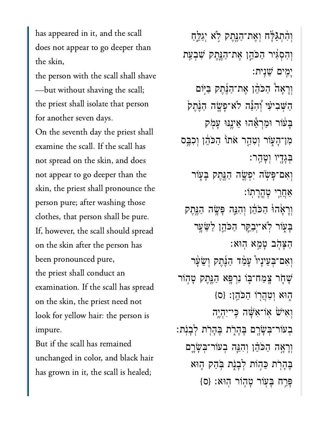has appeared in it, and the scall does not appear to go deeper than  $t_1$  shall shall shall shall shall shall shall shall shall shall shall shall shall shall shall shall shall shall shall shall shall shall shall shall shall shall shall shall shall shall shall shall shall shall shall shall

the person with the scall shall shave - but without shaving the scall; the priest shall isolate that person for another seven days.  $\Omega$  and scalled the scall has scalled the scale examine the scall. If the scall has not spread on the skin, and does not appear to go deeper than the skin, the priest shall pronounce the person pure; after washing those clothes, that person shall be pure. If, however, the scall should spread on the skin after the person has been pronounced pure, the priest shall conduct an examination. If the scall has spread on the skin, the priest need not look for yellow hair: the person is  $\begin{array}{ccc} \bullet & \bullet & \bullet & \bullet \end{array}$ 

n<br>But if the scall has remained<br>unchanged in color, and black hair But if the scall has remained has grown in it, the scall is healed;

וְהָתְגַּלַּ֑ה וְאֵת־הַנֶּחֶק לְא יְגַלֵּחַ וַהְסִגְּיר הַכֹּהֵן אֶת־הַנֵּחֵק שִׁבְעַת ָיִ֖מים ֵׁשִֽנית׃ וְרָאַה *ּהַכֹּהֶן אֵת־הַ*ּנֶּתֶק בַּיִּוֹם הַשָּׁבִיעִׂי וְהָנֶּה לֹא־פַּשֶׂה הַנֵּתֵק ַּבָּעۡוֹר וּמַרְאֶֽהוּ אֵיְנֵנּוּ עָמְק ּמִן־הָעָׂוֹר וְטָהַ֣ר אֹתוֹ הַכֹּהֵ֔ן וְכִבֶּם ְּבָגָ֖דיו ְוָטֵֽהר׃ וְאָם־פָּשָׂה יִפְ**שֶׂה הַגֶּתֶק בְּע**ָוֹר ַאֲחֲרֵי טָהֶרְתֹוֹ: וְרָאָ֫הוֹּ הַכֹּהֵ֫ן וְהָגֵּה פָּשָׂה הַגֵּתֶק ַבְּעָוֹר לְא־יִבָקֵר הַכֹּהֱן לַּשֵׂעֲר ָהָצהב טמא הוּא וְאָם־בִעֵינָיו<sup>9</sup> עָמַ*ד הַ*ּנֲתֵק וְשֵׂעָר ְשַׁחָק צַמַח־בּוֹ נִרְפָּ֣א הַגֶּתֶק טָהְוֹר ּהָוּא וְטְהֲרְוֹ הַכֹּהֵן: {ס וְאִיּשׁ אוֹ־אָשָּׁה כֵּי־יְהָיֵה ָבְעֹוֹר־בִּשָּׂרֵם בֵּהָרָת בְּהָרָת לְבָנִת: וְרָאָה הַכֹּהֵן וְהָגֵּה בְעוֹר־בִּשָׂרֵם ַבְּהָרְׂת כֵּהְוֹת לְבָנָת בְּהַק הָוּא ַפְּרֵח בַּעָּוֹר טַהְוֹר הִוּאָ: {ס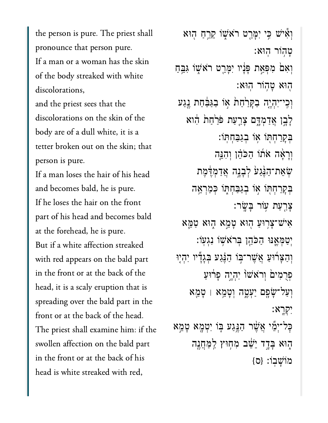the person is pure. The priest shall pronounce that person pure. If a man or a woman has the skin of the body streaked with white discolorations,

and the priest sees that the discolorations on the skin of the body are of a dull white, it is a person is pure.<br>Person is pure to be a pure of the pure of the pure of the pure of the pure of the pure of the pure. The pure<br>Second is pure of the pure of the pure of the pure of the pure of the pure of the pure of the pu If a man loses the hair of his head

If a man loses the hair of his head and becomes bald, he is pure. If he loses the hair on the front part of his head and becomes bald  $\begin{bmatrix} 1 & 0 & 1 & 1 & 1 \end{bmatrix}$ But if a white affection streaked with red appears on the bald part in the front or at the back of the head, it is a scaly eruption that is spreading over the bald part in the front or at the back of the head. The priest shall examine him: if the swollen affection on the bald part in the front or at the back of his head is white streaked with red,

וְאִ*ּיֹשׁ כִּֽי יִמֲּ*רֵט רֹאֹשָׁוֹ קֵרֵחַ הִוּא ָט֥הֹור ֽהּוא׃ וְאָם מִפְּאַת פָּנָיו יִמָּרֵט רֹא ֖הּוא ָט֥הֹור ֽהּוא׃ וְכִי־יִהְיֶה בַקָּרַחַת אִו בַגַּבַּחַת נֵגַע ַלְבֶן אֲדַמְדֶם צָרַעַת פֹּרַחַת הִוא ּבְקַרְחִתְּוֹ אוֹ בְגַבְּחִתּוֹ: וְרָאָה אֹתוֹ הַכֹּהֶן וְהָגֵה ּשְׁאֵת־הַגָּׂנַעׂ לְבָנֶה אֲדַמְדֶּמֶת ּבְקַרַחִתְּוֹ אִוֹ בְגַבַּחְתְּוֹ כִּמְרָאֱה ִצ<u>ַרְ</u>עַת עִוֹר בַּשֲׂר: אִישׁ־צָרְוּעַ הְוּא טָמֵא הָוּא טַמֵּא יִטַּמְּאֵנּוּ הַכֹּהֵן בְּרֹא<sup>ָ</sup>שָׂו נְגִעֹוֹ: **וְהַצַּרֹוּעַ אֲשֵׁר־בִּוֹ הַבְּנֵע בְּגָדָّיו יְהִיִי** פְרָמִים וְרֹאֹשׁוֹ יְהָיֵה פַּרוּעַ ְוַעל־ָׂשָ֖פם ַיְעֶ֑טה ְוָטֵ֥מא ׀ ָטֵ֖מא ִיְקָֽרא׃ ׇּכל־ְיֵ֞מי ֲאֶׁ֨שר ַהֶּ֥נַגע ּ֛בֹו ִיְטָ֖מא ָטֵ֣מא ֑הּוא ָּבָ֣דד ֵיֵׁ֔שב ִמ֥חּוץ ַֽלַּמֲחֶ֖נה  ${0}$ מֹוֹ ${\tt w}$ בוֹ:  ${0}$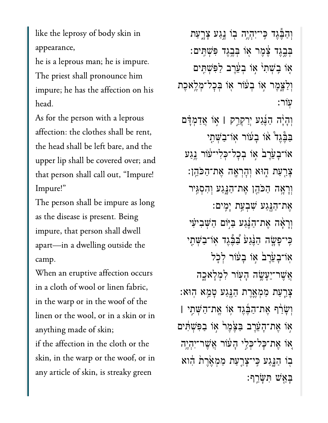like the leprosy of body skin in he is a leprous man; he is impure.

he is a leprous man; he is impure. The priest shall pronounce him impure; he has the affection on his  $\frac{1}{\sqrt{1-\frac{1}{\sqrt{1-\frac{1}{\sqrt{1-\frac{1}{\sqrt{1-\frac{1}{\sqrt{1-\frac{1}{\sqrt{1-\frac{1}{\sqrt{1-\frac{1}{\sqrt{1-\frac{1}{\sqrt{1-\frac{1}{\sqrt{1-\frac{1}{\sqrt{1-\frac{1}{\sqrt{1-\frac{1}{\sqrt{1-\frac{1}{\sqrt{1-\frac{1}{\sqrt{1-\frac{1}{\sqrt{1-\frac{1}{\sqrt{1-\frac{1}{\sqrt{1-\frac{1}{\sqrt{1-\frac{1}{\sqrt{1-\frac{1}{\sqrt{1-\frac{1}{\sqrt{1-\frac{1}{\sqrt{1-\frac{1}{\sqrt{1-\frac{1$ 

As for the person with a leprous  $\frac{1}{\sqrt{1-\frac{1}{1-\frac{1}{1-\frac{1}{1-\frac{1}{1-\frac{1}{1-\frac{1}{1-\frac{1}{1-\frac{1}{1-\frac{1}{1-\frac{1}{1-\frac{1}{1-\frac{1}{1-\frac{1}{1-\frac{1}{1-\frac{1}{1-\frac{1}{1-\frac{1}{1-\frac{1}{1-\frac{1}{1-\frac{1}{1-\frac{1}{1-\frac{1}{1-\frac{1}{1-\frac{1}{1-\frac{1}{1-\frac{1}{1-\frac{1}{1-\frac{1}{1-\frac{1}{1-\frac{1}{1-\frac{1}{1-\frac{1}{1-\frac{1}{1-\frac{1}{1-\frac{1}{1-\$ the head shall be left bare, and the upper lip shall be covered over; and  $\frac{11}{1}$ Impure!" long<br>I

as the disease is present. Being the disease is present to the disease in the disease is present. Being the se<br>The disease is presented to the disease in the contract of the second term in the second term in the second te as the disease is present. Being impure, that person shall dwell apart-in a dwelling outside the  $\mathcal{L}$ 

When an eruptive affection occurs in a cloth of wool or linen fabric, in the warp or in the woof of the linen or the wool, or in a skin or in the anything made of skin; skin, in the warp or the woof, or inskin, in the warp or the woof, or in any article of skin, is streaky green

וָהַבֶּּגֵד כִּי־יִהְיֵה בְוֹ גֵגַע צָרֶעַת ְּבֶ֣בֶגד ֶ֔צֶמר ֖אֹו ְּבֶ֥בֶגד ִּפְׁשִּֽתים׃ אִוֹ בִשְׁתִ<sup>וּ</sup> אִוֹ בִעֲרֵב לַפְּשָׁתֵּים וְלַצָּמֵ֣ר אִוֹ בִעֹּוֹר אִוֹ בִּכָל־מְלֵאֵכֶת ֽעֹור׃ ְוָהָ֨יה ַהֶּ֜נַגע ְיַרְקַ֣רק **׀** ֣אֹו ֲאַדְמָּ֗דם ַּבְּבֶּּגַד או בַעוֹר או־בַשְׁתֵי אוֹ־בָעֲרֶב<sup>ּי</sup> אִו בְכָל־כְּלִי־עֹוֹר גֱנַע ָצָרֵעַת הָוּא וְהָרְאָה אֶת־הַכֹּהֵן: וְרָאָה הַכֹּהֵן אֶת־הַנָּגַע וְהִסְגִּיר ֶאת־ַהֶּ֖נַגע ִׁשְבַ֥עת ָיִֽמים׃ וְרָאָה אֶת־הָנְנֵע בַּיִּוֹם הַשָּׁבִיעִׂי ּכֵּי־פַּשָׂה הַנֵּׁנַעֹּ בַּבֶּגֵד אִו־בַשָּׁתֵי ְאוֹ־בָעֲרֵבׂ אִו בָעֹוֹר לְכָל **ְאֲשֶׁר־יֵעֲ**ׁשֶׂה הָעְוֹר לְמִלָּא<sub>ָ</sub>כָה ָצַרַעַת מַמְאֱרֵת הַגֵּנַע טָמֱא הִוּא ְוָׂשַ֨רף ֶאת־ַהֶּ֜בֶגד ֥אֹו ֶֽאת־ַהְּׁשִ֣תי **׀** אִוֹ אֶת־הָעֲרֵב בַּצֵּמֶר אִו בַפִּשָׁתִּים ְאוֹ אֵת־כַּל־כְּלֵי הַע<del>ֹ</del>וֹר אֲשֶׁר־יִהְיֵה ּבִּוֹ הַגֲגַע כִּי־צָרַעַת מַמְאֶׂרֶת הִוא ָּבֵ֖אׁש ִּתָּׂשֵֽרף׃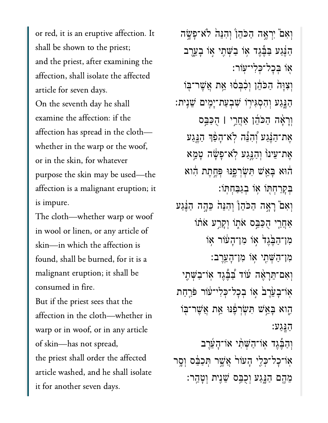or red, it is an eruptive affection. It shall be shown to the priest; and the priest, after examining the affection, shall isolate the affected article for seven days.  $\begin{array}{cc} \sim & 1 & 1 & 1 & 1 & 1 \end{array}$ examine the affection: if the affection has spread in the clothwhether in the warp or the woof, or in the skin, for whatever purpose the skin may be used-the affection is a malignant eruption; it  $\begin{bmatrix} 1 \\ 2 \end{bmatrix}$ 

in wool or linen, or any article ofskinder which the affection is the affection is  $\frac{1}{2}$  and  $\frac{1}{2}$  and  $\frac{1}{2}$  and  $\frac{1}{2}$  and  $\frac{1}{2}$  and  $\frac{1}{2}$  and  $\frac{1}{2}$  and  $\frac{1}{2}$  and  $\frac{1}{2}$  and  $\frac{1}{2}$  and  $\frac{1}{2}$  and  $\frac{1}{2}$  and  $\frac{1$ skin-in which the affection is found, shall be burned, for it is a malignant eruption; it shall be consumed in fire.

But if the priest sees that the affection in the cloth—whether in warp or in woof, or in any article of skin-has not spread, the priest shall order the affected article washed, and he shall isolate it for another seven days.

וְאִם יִרְאֱה הַכֹּהֵן וְהִנֵּה לֹא־פָּשֶׂה הַבְּּנַע כַּבֶּּגֵד אִוֹ בַשָּׁתֵי אָוֹ בָעֲרֵב ֖אֹו ְּבׇכל־ְּכִלי־ֽעֹור׃ וְצְוַּהֹ הַכֹּהֵ֫ן וְכְבְּסֹוּ אֱת אֱשֶׁר־בְּוֹ ַהָּ֑נַגע ְוִהְסִּגי֥רֹו ִׁשְבַעת־ָיִ֖מים ֵׁשִֽנית׃ ְוָרָ֨אה ַהֹּכֵ֜הן ַאֲחֵ֣רי **׀** ֻהַּכֵּ֣בס ֶאת־ַהֶּ֗נַגע ְ֠וִהֵּ֠נה ֹֽלא־ָהַ֨פְך ַהֶּ֤נַגע ָאֶת־עֵינוֹ וְהַנֵּגַע לְאֹ־פָּשָׂה ְטָמֵא ֔הּוא ָּבֵ֖אׁש ִּתְׂשְרֶ֑פּנּו ְּפֶ֣חֶתת ִ֔הוא ּבְקַרְחִתְּוֹ אוֹ בְגַבְּחָתּוֹ: וְאִם ֿרָאָה הַכֹּהֵן וְהִנֵּה כֵּהֶה הַ<u>ּבְּ</u>נַע ְאֲחֲרֵי הְכַּבֵֵּּם אֹתְוֹ וְקַרֵע אֹתֹוֹ ִמן־ַהֶּ֙בֶג֙ד ֣אֹו ִמן־ָה֔עֹור ֥אֹו ּמְן־הַשָּׁתֵי אִו מִן־הָעֲרֵב: וְאָם־תֵּרָאֶה עוֹד בַּבֵּגֵד אָוֹ־בַ<sup>ּ</sup>שָׁתֶי אוֹ־בַעֲרֵב<sup>ׂ</sup> אוֹ בִכָל־כִּלִי־עֹוֹר פּרַחַת הָוא בָּאֵֽשׁ תִּשְׂרְפָנוּ אֶת אֲשֶׁר־בְּוֹ ַהָּֽנַגע׃ וְהָבֶּגֵד אוֹ־הַשָּׁתִ֫י אוֹ־הַעֲרֵב או־כַל־כְּלֵי הַעוֹר אֲשֶׁר תְּכַבֶּס וְסֵר ַמֶּהֵם הַנֵּֽנַע וְכָבַּם שֵׁנִית וְטָהֵר: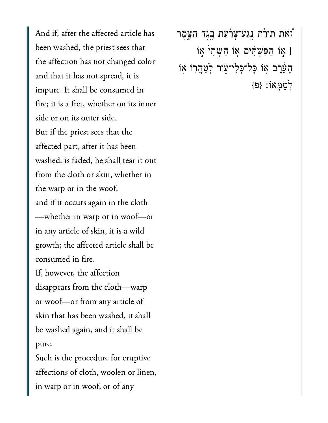And if, after the affected article has  $t \sim 1$  is not changed colored colored colored colored colored colored colored colored colored colored colored colored colored colored colored colored colored colored colored colored colored colored colored colored colore and the it is that it is in the internal space of  $\mathbf{I}$ impure  $\frac{1}{2}$  in the consumed in the consumed in the consumed in the consumed in the consumed in the consumed in the consumed in the consumed in the consumed in the consumed in the consumed in the consumed in the consu impure. It shall be consumed in in<br>inner side or on its outer side. $\ddot{B}$  if the primes the primes the primes the primes the primes the primes the primes the primes the primes the primes the primes the primes the primes the primes the primes the primes the primes the primes the primes But if the priest sees that the affected part, after it has been from the cloth or skin, where  $\frac{1}{2}$ from the cloth or skin, whether in the warp or in the woof; and if it occurs again in the cloth -whether in warp or in woof-or in any article of skin, it is a wild growth; the affected article shall be  $\begin{array}{ccc} \n\bullet & \bullet & \bullet & \bullet \n\end{array}$ If, however, the affection disappears from the cloth-warp skin that has been washed, it shallskin that has been washed, it shall be washed again, and it shall be  $\mathcal{S}_{\mathcal{S}}$  is the procedure for error eruptive for error error error error error error error error error error error error error error error error error error error error error error error error error error error erro Such is the procedure for eruptive

 $\overline{a}$  in warp or  $\overline{a}$  in words  $\overline{a}$ in warp or in woof, or of any ֿוֹאת תּוֹרַ֫ת גֶנַע־צָרַעַת בֶּגֶד הַצֶּמֶר' **׀** ֣אֹו ַהִּפְׁשִּ֗תים ֤אֹו ַהְּׁשִת֙י ֣אֹו ֿהָעֵּׁרֶב אָוֹ כְּל־כְּלִי־עָּוֹר לְטַהֲרָוֹ אָוֹ ְלַטְּמֽאֹו׃ }פ{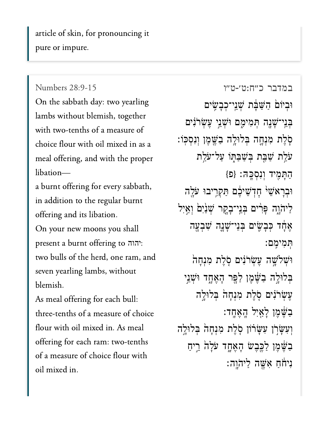article of skin, for pronouncing it pure or impure.

## Numbers 28:9-15

On the sabbath day: two yearling lambs without blemish, together choice flow  $\overline{c}$ choice flour with oil mixed in as a meal offering, and with the proper and the burnt offering for  $\mathbf{r}$  is the every sabbath, the sabbath,  $\mathbf{r}$ 

a burnt offering for every sabbath, in addition to the regular burnt offering and its libation.

On your new moons you shall hall<br>הוה: two bulls of the herd, one ram, and  $\alpha$ two bulls of the herd, one ram, and seven yearling lambs, without יהוה As meal offering for each bull:

As meal offering for each bull: three-tenths of a measure of choice flour with oil mixed in. As meal offering for each ram: two-tenths of a measure of choice flour with oil mixed in.

במדבר [כ״ח:ט׳-ט״ו](https://www.sefaria.org/Numbers%2028:9-15) 28:9-15 Numbers וּבִיּוֹם הַשַּׁבָּ֫ת שָׁנֵי־כִבָשִׂיִם ְּבֵֽני־ָׁשָ֖נה ְּתִמיִ֑מם ּוְׁשֵ֣ני ֶעְׂשֹרִ֗נים ֹ֧סֶלת ִמְנָ֛חה ְּבלּוָ֥לה ַבֶּׁ֖שֶמן ְוִנְסּֽכֹו׃ ֿעַלַת שַׁבַּת בִּשַׁבַּתְּוֹ עַל־עֹלַת ַהָּתִ֖מיד ְוִנְסָּֽכּה׃ }פ{ וּבְרָא<sup>ָ</sup>ּשֵׁי ּחְדָשִׁיּבֶּם תַּקְרִיבוּ עֹלֶה ַלִּיהֹוֶה פָּרִים בְּנֵי־בָקֶר שָׁנַיִּם וְאֵיִל אָחָד כִּבָשִׂים בְּנֵי־שָׁנָָה שִׁבְעָּה ְּתִמיִֽמם׃  $\phi$ וְּשִׁלְשֶׁה עֲשִׂרֹּנִים סָלֶת מְנִחָה בְּלוּלֶה בַּשֶּׁמֶן לַפָּר הָאֲחָד וּשָׁנֵי ּעֲשִׂרֹּנִים סָלֵת מְנְחַהֹ בְּלוּלֵה ַבִּשֶּׁמֶן לָאַיִל הָאֶחֶד: וְעִשָּׂרְוֹ עִשָּׂרֹוֹן סָׂלֵת מִנְחָה בִּלוּלֶה ַבְשֶּׁמֶן לַכֵּבֵשׁ הָאֵחֶד עֹלָה רֵיחַ  $:$ ניהה אַשה ליהוה